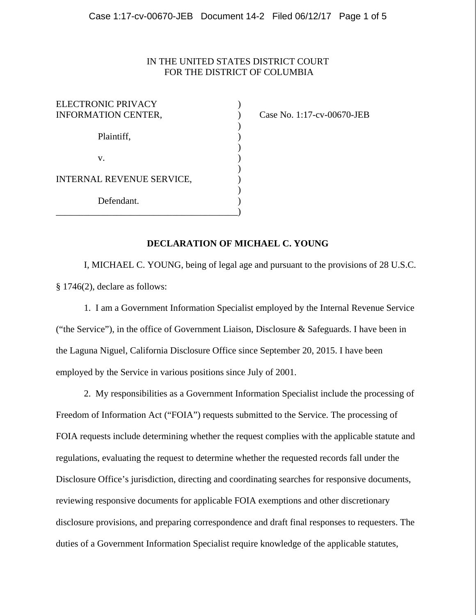# IN THE UNITED STATES DISTRICT COURT FOR THE DISTRICT OF COLUMBIA

| ELECTRONIC PRIVACY<br><b>INFORMATION CENTER,</b> |  |
|--------------------------------------------------|--|
| Plaintiff,                                       |  |
| V.                                               |  |
| INTERNAL REVENUE SERVICE,                        |  |
| Defendant.                                       |  |

Case No. 1:17-cv-00670-JEB

# **DECLARATION OF MICHAEL C. YOUNG**

I, MICHAEL C. YOUNG, being of legal age and pursuant to the provisions of 28 U.S.C. § 1746(2), declare as follows:

1. I am a Government Information Specialist employed by the Internal Revenue Service ("the Service"), in the office of Government Liaison, Disclosure & Safeguards. I have been in the Laguna Niguel, California Disclosure Office since September 20, 2015. I have been employed by the Service in various positions since July of 2001.

2. My responsibilities as a Government Information Specialist include the processing of Freedom of Information Act ("FOIA") requests submitted to the Service. The processing of FOIA requests include determining whether the request complies with the applicable statute and regulations, evaluating the request to determine whether the requested records fall under the Disclosure Office's jurisdiction, directing and coordinating searches for responsive documents, reviewing responsive documents for applicable FOIA exemptions and other discretionary disclosure provisions, and preparing correspondence and draft final responses to requesters. The duties of a Government Information Specialist require knowledge of the applicable statutes,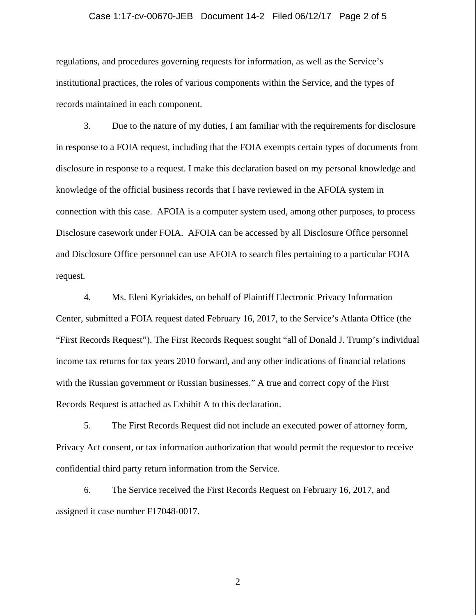### Case 1:17-cv-00670-JEB Document 14-2 Filed 06/12/17 Page 2 of 5

regulations, and procedures governing requests for information, as well as the Service's institutional practices, the roles of various components within the Service, and the types of records maintained in each component.

3. Due to the nature of my duties, I am familiar with the requirements for disclosure in response to a FOIA request, including that the FOIA exempts certain types of documents from disclosure in response to a request. I make this declaration based on my personal knowledge and knowledge of the official business records that I have reviewed in the AFOIA system in connection with this case. AFOIA is a computer system used, among other purposes, to process Disclosure casework under FOIA. AFOIA can be accessed by all Disclosure Office personnel and Disclosure Office personnel can use AFOIA to search files pertaining to a particular FOIA request.

4. Ms. Eleni Kyriakides, on behalf of Plaintiff Electronic Privacy Information Center, submitted a FOIA request dated February 16, 2017, to the Service's Atlanta Office (the "First Records Request"). The First Records Request sought "all of Donald J. Trump's individual income tax returns for tax years 2010 forward, and any other indications of financial relations with the Russian government or Russian businesses." A true and correct copy of the First Records Request is attached as Exhibit A to this declaration.

5. The First Records Request did not include an executed power of attorney form, Privacy Act consent, or tax information authorization that would permit the requestor to receive confidential third party return information from the Service.

6. The Service received the First Records Request on February 16, 2017, and assigned it case number F17048-0017.

2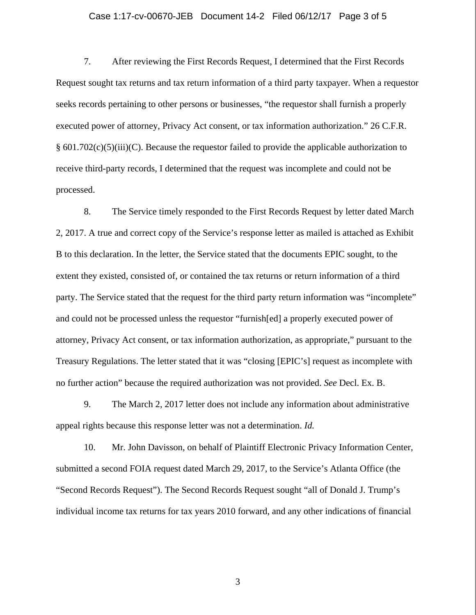### Case 1:17-cv-00670-JEB Document 14-2 Filed 06/12/17 Page 3 of 5

7. After reviewing the First Records Request, I determined that the First Records Request sought tax returns and tax return information of a third party taxpayer. When a requestor seeks records pertaining to other persons or businesses, "the requestor shall furnish a properly executed power of attorney, Privacy Act consent, or tax information authorization." 26 C.F.R. § 601.702(c)(5)(iii)(C). Because the requestor failed to provide the applicable authorization to receive third-party records, I determined that the request was incomplete and could not be processed.

8. The Service timely responded to the First Records Request by letter dated March 2, 2017. A true and correct copy of the Service's response letter as mailed is attached as Exhibit B to this declaration. In the letter, the Service stated that the documents EPIC sought, to the extent they existed, consisted of, or contained the tax returns or return information of a third party. The Service stated that the request for the third party return information was "incomplete" and could not be processed unless the requestor "furnish[ed] a properly executed power of attorney, Privacy Act consent, or tax information authorization, as appropriate," pursuant to the Treasury Regulations. The letter stated that it was "closing [EPIC's] request as incomplete with no further action" because the required authorization was not provided. *See* Decl. Ex. B.

9. The March 2, 2017 letter does not include any information about administrative appeal rights because this response letter was not a determination. *Id.*

10. Mr. John Davisson, on behalf of Plaintiff Electronic Privacy Information Center, submitted a second FOIA request dated March 29, 2017, to the Service's Atlanta Office (the "Second Records Request"). The Second Records Request sought "all of Donald J. Trump's individual income tax returns for tax years 2010 forward, and any other indications of financial

3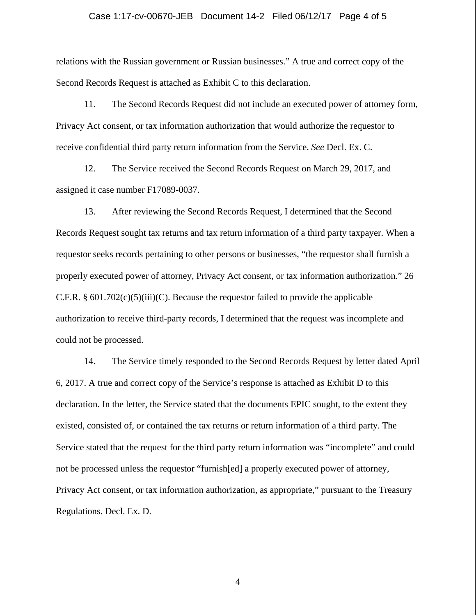### Case 1:17-cv-00670-JEB Document 14-2 Filed 06/12/17 Page 4 of 5

relations with the Russian government or Russian businesses." A true and correct copy of the Second Records Request is attached as Exhibit C to this declaration.

11. The Second Records Request did not include an executed power of attorney form, Privacy Act consent, or tax information authorization that would authorize the requestor to receive confidential third party return information from the Service. *See* Decl. Ex. C.

12. The Service received the Second Records Request on March 29, 2017, and assigned it case number F17089-0037.

13. After reviewing the Second Records Request, I determined that the Second Records Request sought tax returns and tax return information of a third party taxpayer. When a requestor seeks records pertaining to other persons or businesses, "the requestor shall furnish a properly executed power of attorney, Privacy Act consent, or tax information authorization." 26 C.F.R.  $\S 601.702(c)(5)(iii)(C)$ . Because the requestor failed to provide the applicable authorization to receive third-party records, I determined that the request was incomplete and could not be processed.

14. The Service timely responded to the Second Records Request by letter dated April 6, 2017. A true and correct copy of the Service's response is attached as Exhibit D to this declaration. In the letter, the Service stated that the documents EPIC sought, to the extent they existed, consisted of, or contained the tax returns or return information of a third party. The Service stated that the request for the third party return information was "incomplete" and could not be processed unless the requestor "furnish[ed] a properly executed power of attorney, Privacy Act consent, or tax information authorization, as appropriate," pursuant to the Treasury Regulations. Decl. Ex. D.

4